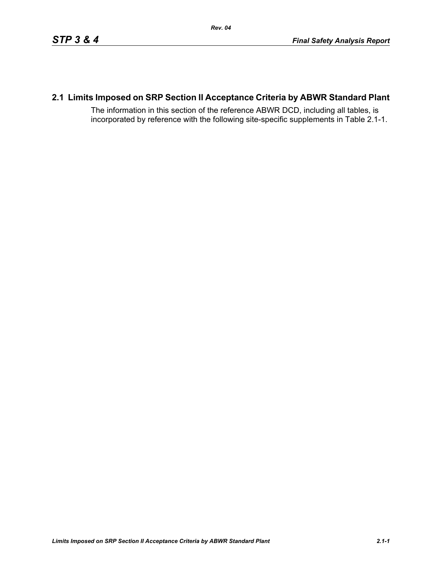# **2.1 Limits Imposed on SRP Section II Acceptance Criteria by ABWR Standard Plant**

The information in this section of the reference ABWR DCD, including all tables, is incorporated by reference with the following site-specific supplements in Table [2.1-1.](#page-1-0)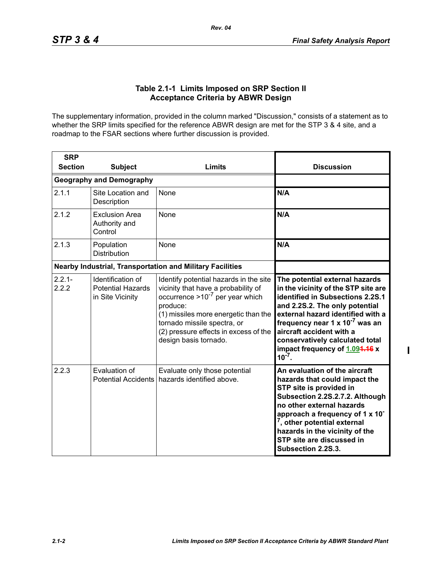$\blacksquare$ 

### **Table 2.1-1 Limits Imposed on SRP Section II Acceptance Criteria by ABWR Design**

<span id="page-1-0"></span>The supplementary information, provided in the column marked "Discussion," consists of a statement as to whether the SRP limits specified for the reference ABWR design are met for the STP 3 & 4 site, and a roadmap to the FSAR sections where further discussion is provided.

| <b>SRP</b><br><b>Section</b> | <b>Subject</b>                                                    | <b>Limits</b>                                                                                                                                                                                                                                                              | <b>Discussion</b>                                                                                                                                                                                                                                                                                                                              |
|------------------------------|-------------------------------------------------------------------|----------------------------------------------------------------------------------------------------------------------------------------------------------------------------------------------------------------------------------------------------------------------------|------------------------------------------------------------------------------------------------------------------------------------------------------------------------------------------------------------------------------------------------------------------------------------------------------------------------------------------------|
|                              | <b>Geography and Demography</b>                                   |                                                                                                                                                                                                                                                                            |                                                                                                                                                                                                                                                                                                                                                |
| 2.1.1                        | Site Location and<br>Description                                  | None                                                                                                                                                                                                                                                                       | N/A                                                                                                                                                                                                                                                                                                                                            |
| 2.1.2                        | <b>Exclusion Area</b><br>Authority and<br>Control                 | None                                                                                                                                                                                                                                                                       | N/A                                                                                                                                                                                                                                                                                                                                            |
| 2.1.3                        | Population<br><b>Distribution</b>                                 | None                                                                                                                                                                                                                                                                       | N/A                                                                                                                                                                                                                                                                                                                                            |
|                              | <b>Nearby Industrial, Transportation and Military Facilities</b>  |                                                                                                                                                                                                                                                                            |                                                                                                                                                                                                                                                                                                                                                |
| $2.2.1 -$<br>2.2.2           | Identification of<br><b>Potential Hazards</b><br>in Site Vicinity | Identify potential hazards in the site<br>vicinity that have a probability of<br>occurrence $>10^{-7}$ per year which<br>produce:<br>(1) missiles more energetic than the<br>tornado missile spectra, or<br>(2) pressure effects in excess of the<br>design basis tornado. | The potential external hazards<br>in the vicinity of the STP site are<br>identified in Subsections 2.2S.1<br>and 2.2S.2. The only potential<br>external hazard identified with a<br>frequency near 1 x 10 <sup>-7</sup> was an<br>aircraft accident with a<br>conservatively calculated total<br>impact frequency of 1.094.46 x<br>$10^{-7}$ . |
| 2.2.3                        | Evaluation of<br><b>Potential Accidents</b>                       | Evaluate only those potential<br>hazards identified above.                                                                                                                                                                                                                 | An evaluation of the aircraft<br>hazards that could impact the<br>STP site is provided in<br>Subsection 2.2S.2.7.2. Although<br>no other external hazards<br>approach a frequency of 1 x 10<br>, other potential external<br>hazards in the vicinity of the<br>STP site are discussed in<br>Subsection 2.2S.3.                                 |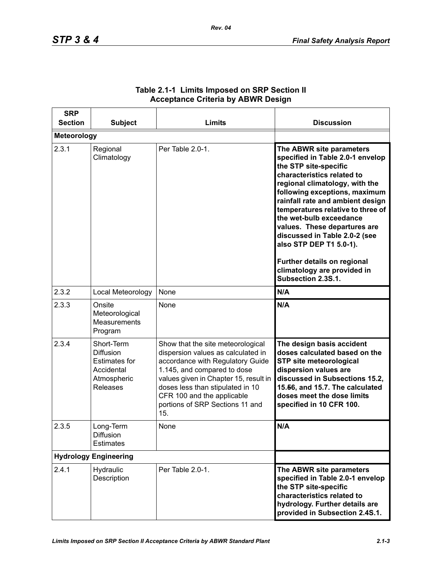| <b>SRP</b><br><b>Section</b> | <b>Subject</b>                                                                                         | Limits                                                                                                                                                                                                                                                                                          | <b>Discussion</b>                                                                                                                                                                                                                                                                                                                                                                                                                                                          |
|------------------------------|--------------------------------------------------------------------------------------------------------|-------------------------------------------------------------------------------------------------------------------------------------------------------------------------------------------------------------------------------------------------------------------------------------------------|----------------------------------------------------------------------------------------------------------------------------------------------------------------------------------------------------------------------------------------------------------------------------------------------------------------------------------------------------------------------------------------------------------------------------------------------------------------------------|
| <b>Meteorology</b>           |                                                                                                        |                                                                                                                                                                                                                                                                                                 |                                                                                                                                                                                                                                                                                                                                                                                                                                                                            |
| 2.3.1                        | Regional<br>Climatology                                                                                | Per Table 2.0-1.                                                                                                                                                                                                                                                                                | The ABWR site parameters<br>specified in Table 2.0-1 envelop<br>the STP site-specific<br>characteristics related to<br>regional climatology, with the<br>following exceptions, maximum<br>rainfall rate and ambient design<br>temperatures relative to three of<br>the wet-bulb exceedance<br>values. These departures are<br>discussed in Table 2.0-2 (see<br>also STP DEP T1 5.0-1).<br>Further details on regional<br>climatology are provided in<br>Subsection 2.3S.1. |
| 2.3.2                        | Local Meteorology                                                                                      | None                                                                                                                                                                                                                                                                                            | N/A                                                                                                                                                                                                                                                                                                                                                                                                                                                                        |
| 2.3.3                        | Onsite<br>Meteorological<br><b>Measurements</b><br>Program                                             | None                                                                                                                                                                                                                                                                                            | N/A                                                                                                                                                                                                                                                                                                                                                                                                                                                                        |
| 2.3.4                        | Short-Term<br><b>Diffusion</b><br><b>Estimates for</b><br>Accidental<br>Atmospheric<br><b>Releases</b> | Show that the site meteorological<br>dispersion values as calculated in<br>accordance with Regulatory Guide<br>1.145, and compared to dose<br>values given in Chapter 15, result in<br>doses less than stipulated in 10<br>CFR 100 and the applicable<br>portions of SRP Sections 11 and<br>15. | The design basis accident<br>doses calculated based on the<br><b>STP site meteorological</b><br>dispersion values are<br>discussed in Subsections 15.2,<br>15.56, and 15.7. The calculated<br>doses meet the dose limits<br>specified in 10 CFR 100.                                                                                                                                                                                                                       |
| 2.3.5                        | Long-Term<br>Diffusion<br><b>Estimates</b>                                                             | None                                                                                                                                                                                                                                                                                            | N/A                                                                                                                                                                                                                                                                                                                                                                                                                                                                        |
| <b>Hydrology Engineering</b> |                                                                                                        |                                                                                                                                                                                                                                                                                                 |                                                                                                                                                                                                                                                                                                                                                                                                                                                                            |
| 2.4.1                        | Hydraulic<br>Description                                                                               | Per Table 2.0-1.                                                                                                                                                                                                                                                                                | The ABWR site parameters<br>specified in Table 2.0-1 envelop<br>the STP site-specific<br>characteristics related to<br>hydrology. Further details are<br>provided in Subsection 2.4S.1.                                                                                                                                                                                                                                                                                    |

## **Table 2.1-1 Limits Imposed on SRP Section II Acceptance Criteria by ABWR Design**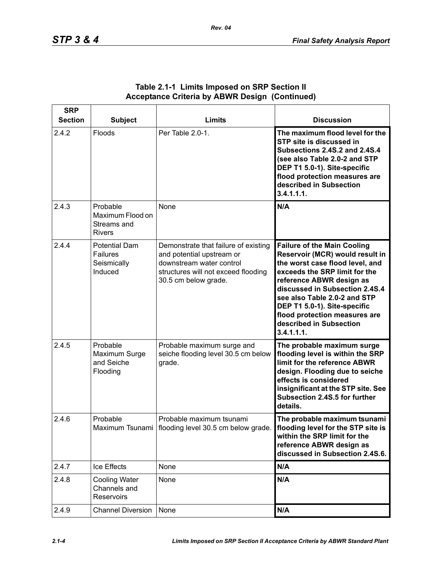| <b>SRP</b><br><b>Section</b> | <b>Subject</b>                                                    | <b>Limits</b>                                                                                                                                                | <b>Discussion</b>                                                                                                                                                                                                                                                                                                                                 |
|------------------------------|-------------------------------------------------------------------|--------------------------------------------------------------------------------------------------------------------------------------------------------------|---------------------------------------------------------------------------------------------------------------------------------------------------------------------------------------------------------------------------------------------------------------------------------------------------------------------------------------------------|
| 2.4.2                        | Floods                                                            | Per Table 2.0-1.                                                                                                                                             | The maximum flood level for the<br>STP site is discussed in<br><b>Subsections 2.4S.2 and 2.4S.4</b><br>(see also Table 2.0-2 and STP<br>DEP T1 5.0-1). Site-specific<br>flood protection measures are<br>described in Subsection<br>3.4.1.1.1.                                                                                                    |
| 2.4.3                        | Probable<br>Maximum Flood on<br>Streams and<br><b>Rivers</b>      | None                                                                                                                                                         | N/A                                                                                                                                                                                                                                                                                                                                               |
| 2.4.4                        | <b>Potential Dam</b><br><b>Failures</b><br>Seismically<br>Induced | Demonstrate that failure of existing<br>and potential upstream or<br>downstream water control<br>structures will not exceed flooding<br>30.5 cm below grade. | <b>Failure of the Main Cooling</b><br>Reservoir (MCR) would result in<br>the worst case flood level, and<br>exceeds the SRP limit for the<br>reference ABWR design as<br>discussed in Subsection 2.4S.4<br>see also Table 2.0-2 and STP<br>DEP T1 5.0-1). Site-specific<br>flood protection measures are<br>described in Subsection<br>3.4.1.1.1. |
| 2.4.5                        | Probable<br>Maximum Surge<br>and Seiche<br>Flooding               | Probable maximum surge and<br>seiche flooding level 30.5 cm below<br>grade.                                                                                  | The probable maximum surge<br>flooding level is within the SRP<br>limit for the reference ABWR<br>design. Flooding due to seiche<br>effects is considered<br>insignificant at the STP site. See<br>Subsection 2.4S.5 for further<br>details.                                                                                                      |
| 2.4.6                        | Probable                                                          | Probable maximum tsunami<br>Maximum Tsunami   flooding level 30.5 cm below grade.                                                                            | The probable maximum tsunami<br>flooding level for the STP site is<br>within the SRP limit for the<br>reference ABWR design as<br>discussed in Subsection 2.4S.6.                                                                                                                                                                                 |
| 2.4.7                        | Ice Effects                                                       | None                                                                                                                                                         | N/A                                                                                                                                                                                                                                                                                                                                               |
| 2.4.8                        | <b>Cooling Water</b><br>Channels and<br>Reservoirs                | None                                                                                                                                                         | N/A                                                                                                                                                                                                                                                                                                                                               |
| 2.4.9                        | <b>Channel Diversion</b>                                          | None                                                                                                                                                         | N/A                                                                                                                                                                                                                                                                                                                                               |

### **Table 2.1-1 Limits Imposed on SRP Section II Acceptance Criteria by ABWR Design (Continued)**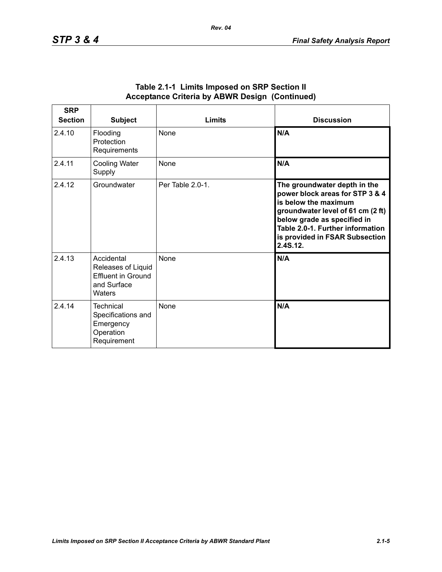| <b>SRP</b><br><b>Section</b> | <b>Subject</b>                                                                         | <b>Limits</b>    | <b>Discussion</b>                                                                                                                                                                                                                             |
|------------------------------|----------------------------------------------------------------------------------------|------------------|-----------------------------------------------------------------------------------------------------------------------------------------------------------------------------------------------------------------------------------------------|
| 2.4.10                       | Flooding<br>Protection<br>Requirements                                                 | None             | N/A                                                                                                                                                                                                                                           |
| 2.4.11                       | <b>Cooling Water</b><br>Supply                                                         | None             | N/A                                                                                                                                                                                                                                           |
| 2.4.12                       | Groundwater                                                                            | Per Table 2.0-1. | The groundwater depth in the<br>power block areas for STP 3 & 4<br>is below the maximum<br>groundwater level of 61 cm (2 ft)<br>below grade as specified in<br>Table 2.0-1. Further information<br>is provided in FSAR Subsection<br>2.4S.12. |
| 2.4.13                       | Accidental<br>Releases of Liquid<br><b>Effluent in Ground</b><br>and Surface<br>Waters | None             | N/A                                                                                                                                                                                                                                           |
| 2.4.14                       | Technical<br>Specifications and<br>Emergency<br>Operation<br>Requirement               | None             | N/A                                                                                                                                                                                                                                           |

#### **Table 2.1-1 Limits Imposed on SRP Section II Acceptance Criteria by ABWR Design (Continued)**